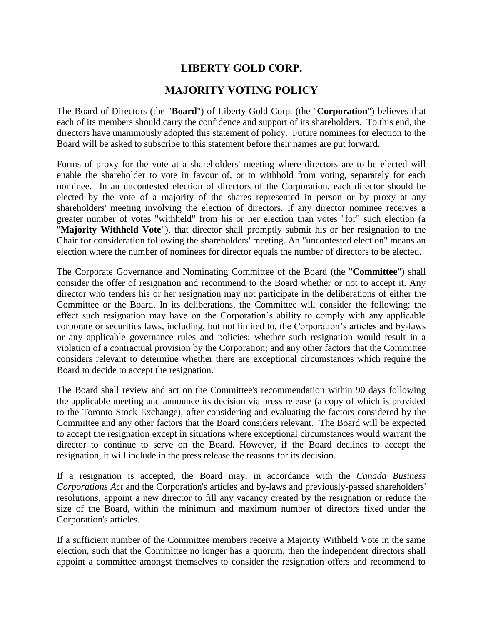## **LIBERTY GOLD CORP.**

## **MAJORITY VOTING POLICY**

The Board of Directors (the "**Board**") of Liberty Gold Corp. (the "**Corporation**") believes that each of its members should carry the confidence and support of its shareholders. To this end, the directors have unanimously adopted this statement of policy. Future nominees for election to the Board will be asked to subscribe to this statement before their names are put forward.

Forms of proxy for the vote at a shareholders' meeting where directors are to be elected will enable the shareholder to vote in favour of, or to withhold from voting, separately for each nominee. In an uncontested election of directors of the Corporation, each director should be elected by the vote of a majority of the shares represented in person or by proxy at any shareholders' meeting involving the election of directors. If any director nominee receives a greater number of votes "withheld" from his or her election than votes "for" such election (a "**Majority Withheld Vote**"), that director shall promptly submit his or her resignation to the Chair for consideration following the shareholders' meeting. An "uncontested election" means an election where the number of nominees for director equals the number of directors to be elected.

The Corporate Governance and Nominating Committee of the Board (the "**Committee**") shall consider the offer of resignation and recommend to the Board whether or not to accept it. Any director who tenders his or her resignation may not participate in the deliberations of either the Committee or the Board. In its deliberations, the Committee will consider the following: the effect such resignation may have on the Corporation's ability to comply with any applicable corporate or securities laws, including, but not limited to, the Corporation's articles and by-laws or any applicable governance rules and policies; whether such resignation would result in a violation of a contractual provision by the Corporation; and any other factors that the Committee considers relevant to determine whether there are exceptional circumstances which require the Board to decide to accept the resignation.

The Board shall review and act on the Committee's recommendation within 90 days following the applicable meeting and announce its decision via press release (a copy of which is provided to the Toronto Stock Exchange), after considering and evaluating the factors considered by the Committee and any other factors that the Board considers relevant. The Board will be expected to accept the resignation except in situations where exceptional circumstances would warrant the director to continue to serve on the Board. However, if the Board declines to accept the resignation, it will include in the press release the reasons for its decision.

If a resignation is accepted, the Board may, in accordance with the *Canada Business Corporations Act* and the Corporation's articles and by-laws and previously-passed shareholders' resolutions, appoint a new director to fill any vacancy created by the resignation or reduce the size of the Board, within the minimum and maximum number of directors fixed under the Corporation's articles.

If a sufficient number of the Committee members receive a Majority Withheld Vote in the same election, such that the Committee no longer has a quorum, then the independent directors shall appoint a committee amongst themselves to consider the resignation offers and recommend to